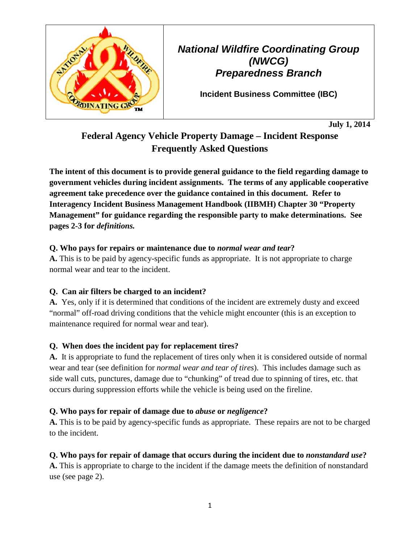

*National Wildfire Coordinating Group (NWCG) Preparedness Branch* 

**Incident Business Committee (IBC)**

**July 1, 2014** 

# **Federal Agency Vehicle Property Damage – Incident Response Frequently Asked Questions**

**The intent of this document is to provide general guidance to the field regarding damage to government vehicles during incident assignments. The terms of any applicable cooperative agreement take precedence over the guidance contained in this document. Refer to Interagency Incident Business Management Handbook (IIBMH) Chapter 30 "Property Management" for guidance regarding the responsible party to make determinations. See pages 2-3 for** *definitions.*

## **Q. Who pays for repairs or maintenance due to** *normal wear and tear***?**

**A.** This is to be paid by agency-specific funds as appropriate. It is not appropriate to charge normal wear and tear to the incident.

# **Q. Can air filters be charged to an incident?**

**A.** Yes, only if it is determined that conditions of the incident are extremely dusty and exceed "normal" off-road driving conditions that the vehicle might encounter (this is an exception to maintenance required for normal wear and tear).

# **Q. When does the incident pay for replacement tires?**

**A.** It is appropriate to fund the replacement of tires only when it is considered outside of normal wear and tear (see definition for *normal wear and tear of tires*). This includes damage such as side wall cuts, punctures, damage due to "chunking" of tread due to spinning of tires, etc. that occurs during suppression efforts while the vehicle is being used on the fireline.

# **Q. Who pays for repair of damage due to** *abuse* **or** *negligence***?**

**A.** This is to be paid by agency-specific funds as appropriate. These repairs are not to be charged to the incident.

## **Q. Who pays for repair of damage that occurs during the incident due to** *nonstandard use***?**

**A.** This is appropriate to charge to the incident if the damage meets the definition of nonstandard use (see page 2).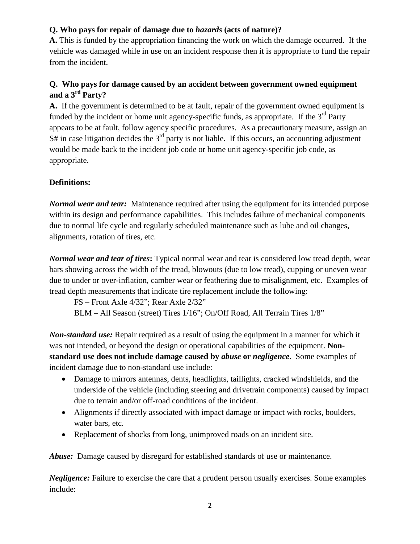#### **Q. Who pays for repair of damage due to** *hazards* **(acts of nature)?**

**A.** This is funded by the appropriation financing the work on which the damage occurred. If the vehicle was damaged while in use on an incident response then it is appropriate to fund the repair from the incident.

## **Q. Who pays for damage caused by an accident between government owned equipment and a 3rd Party?**

**A.** If the government is determined to be at fault, repair of the government owned equipment is funded by the incident or home unit agency-specific funds, as appropriate. If the  $3<sup>rd</sup>$  Party appears to be at fault, follow agency specific procedures. As a precautionary measure, assign an  $S#$  in case litigation decides the  $3<sup>rd</sup>$  party is not liable. If this occurs, an accounting adjustment would be made back to the incident job code or home unit agency-specific job code, as appropriate.

## **Definitions:**

*Normal wear and tear:* Maintenance required after using the equipment for its intended purpose within its design and performance capabilities. This includes failure of mechanical components due to normal life cycle and regularly scheduled maintenance such as lube and oil changes, alignments, rotation of tires, etc.

*Normal wear and tear of tires***:** Typical normal wear and tear is considered low tread depth, wear bars showing across the width of the tread, blowouts (due to low tread), cupping or uneven wear due to under or over-inflation, camber wear or feathering due to misalignment, etc. Examples of tread depth measurements that indicate tire replacement include the following:

FS – Front Axle 4/32"; Rear Axle 2/32" BLM – All Season (street) Tires 1/16"; On/Off Road, All Terrain Tires 1/8"

*Non-standard use:* Repair required as a result of using the equipment in a manner for which it was not intended, or beyond the design or operational capabilities of the equipment. **Nonstandard use does not include damage caused by** *abuse* **or** *negligence*. Some examples of incident damage due to non-standard use include:

- Damage to mirrors antennas, dents, headlights, taillights, cracked windshields, and the underside of the vehicle (including steering and drivetrain components) caused by impact due to terrain and/or off-road conditions of the incident.
- Alignments if directly associated with impact damage or impact with rocks, boulders, water bars, etc.
- Replacement of shocks from long, unimproved roads on an incident site.

*Abuse:* Damage caused by disregard for established standards of use or maintenance.

*Negligence:* Failure to exercise the care that a prudent person usually exercises. Some examples include: